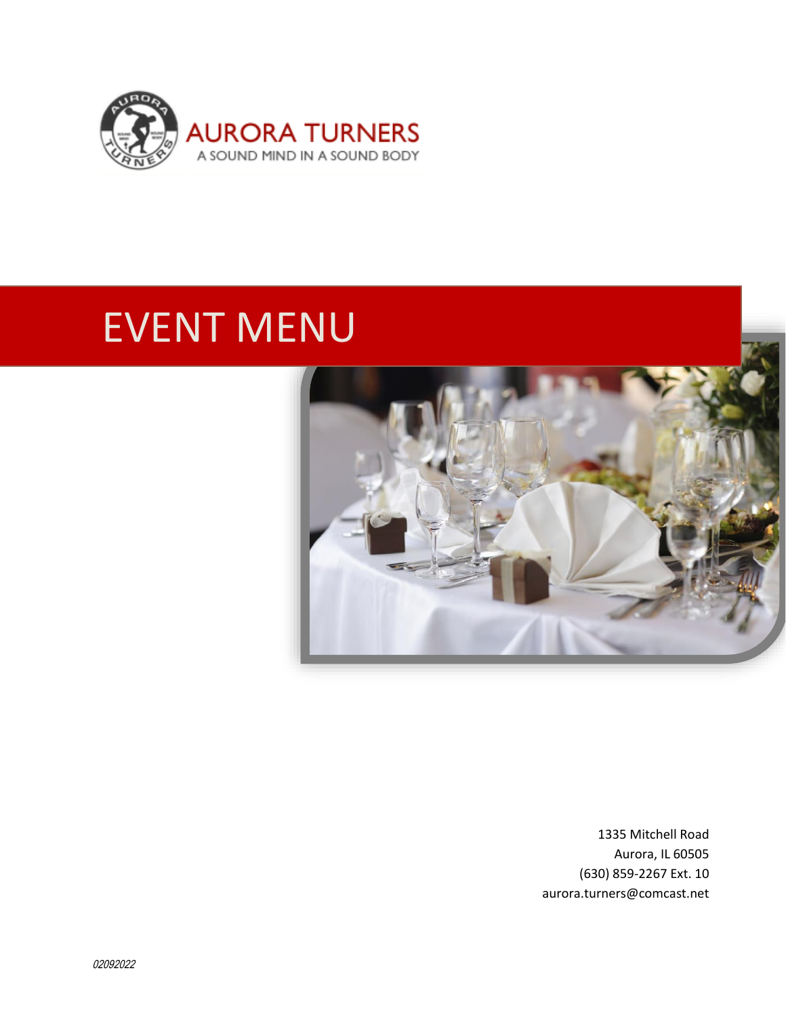

# EVENT MENU



1335 Mitchell Road Aurora, IL 60505 (630) 859-2267 Ext. 10 aurora.turners@comcast.net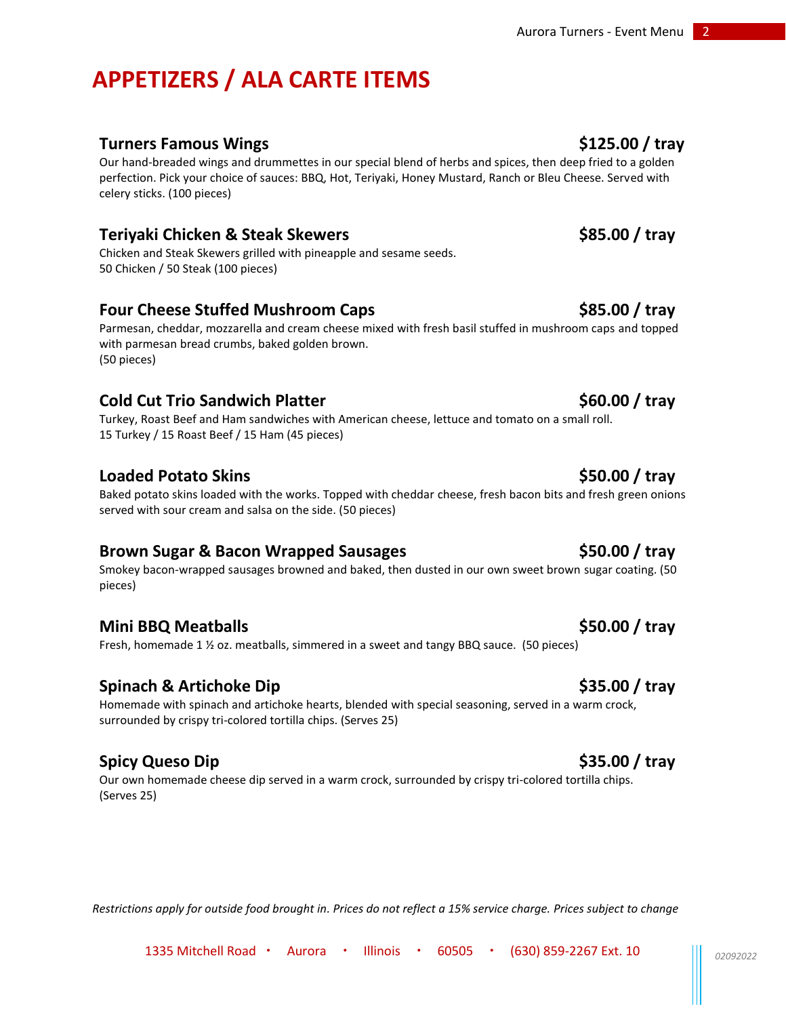# **APPETIZERS / ALA CARTE ITEMS**

# **Turners Famous Wings \$125.00 / tray**

Our hand-breaded wings and drummettes in our special blend of herbs and spices, then deep fried to a golden perfection. Pick your choice of sauces: BBQ, Hot, Teriyaki, Honey Mustard, Ranch or Bleu Cheese. Served with celery sticks. (100 pieces)

### **Teriyaki Chicken & Steak Skewers \$85.00 / tray**

Chicken and Steak Skewers grilled with pineapple and sesame seeds. 50 Chicken / 50 Steak (100 pieces)

### **Four Cheese Stuffed Mushroom Caps 1988 685.00 / tray**

Parmesan, cheddar, mozzarella and cream cheese mixed with fresh basil stuffed in mushroom caps and topped with parmesan bread crumbs, baked golden brown. (50 pieces)

## **Cold Cut Trio Sandwich Platter <b>\$60.00** / tray

Turkey, Roast Beef and Ham sandwiches with American cheese, lettuce and tomato on a small roll. 15 Turkey / 15 Roast Beef / 15 Ham (45 pieces)

### **Loaded Potato Skins \$50.00 / tray**

Baked potato skins loaded with the works. Topped with cheddar cheese, fresh bacon bits and fresh green onions served with sour cream and salsa on the side. (50 pieces)

### **Brown Sugar & Bacon Wrapped Sausages \$50.00 / tray**

Smokey bacon-wrapped sausages browned and baked, then dusted in our own sweet brown sugar coating. (50 pieces)

### **Mini BBQ Meatballs \$50.00 / tray**

Fresh, homemade 1 ½ oz. meatballs, simmered in a sweet and tangy BBQ sauce. (50 pieces)

### **Spinach & Artichoke Dip \$35.00 / tray**

Homemade with spinach and artichoke hearts, blended with special seasoning, served in a warm crock, surrounded by crispy tri-colored tortilla chips. (Serves 25)

# **Spicy Queso Dip \$35.00 / tray**

Our own homemade cheese dip served in a warm crock, surrounded by crispy tri-colored tortilla chips. (Serves 25)

*Restrictions apply for outside food brought in. Prices do not reflect a 15% service charge. Prices subject to change*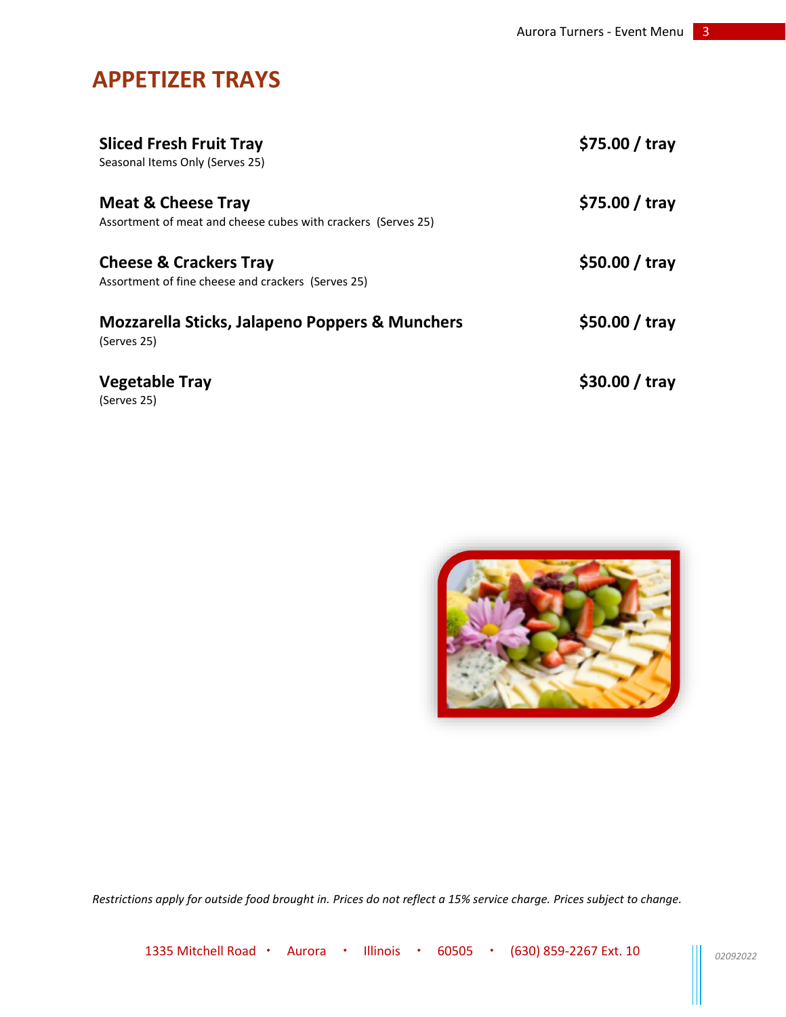# **APPETIZER TRAYS**

| <b>Sliced Fresh Fruit Tray</b><br>Seasonal Items Only (Serves 25)                              | $$75.00 /$ tray |
|------------------------------------------------------------------------------------------------|-----------------|
| <b>Meat &amp; Cheese Tray</b><br>Assortment of meat and cheese cubes with crackers (Serves 25) | $$75.00 /$ tray |
| <b>Cheese &amp; Crackers Tray</b><br>Assortment of fine cheese and crackers (Serves 25)        | $$50.00 /$ tray |
| <b>Mozzarella Sticks, Jalapeno Poppers &amp; Munchers</b><br>(Serves 25)                       | $$50.00 /$ tray |
| <b>Vegetable Tray</b><br>(Serves 25)                                                           | \$30.00 / tray  |



*Restrictions apply for outside food brought in. Prices do not reflect a 15% service charge. Prices subject to change.*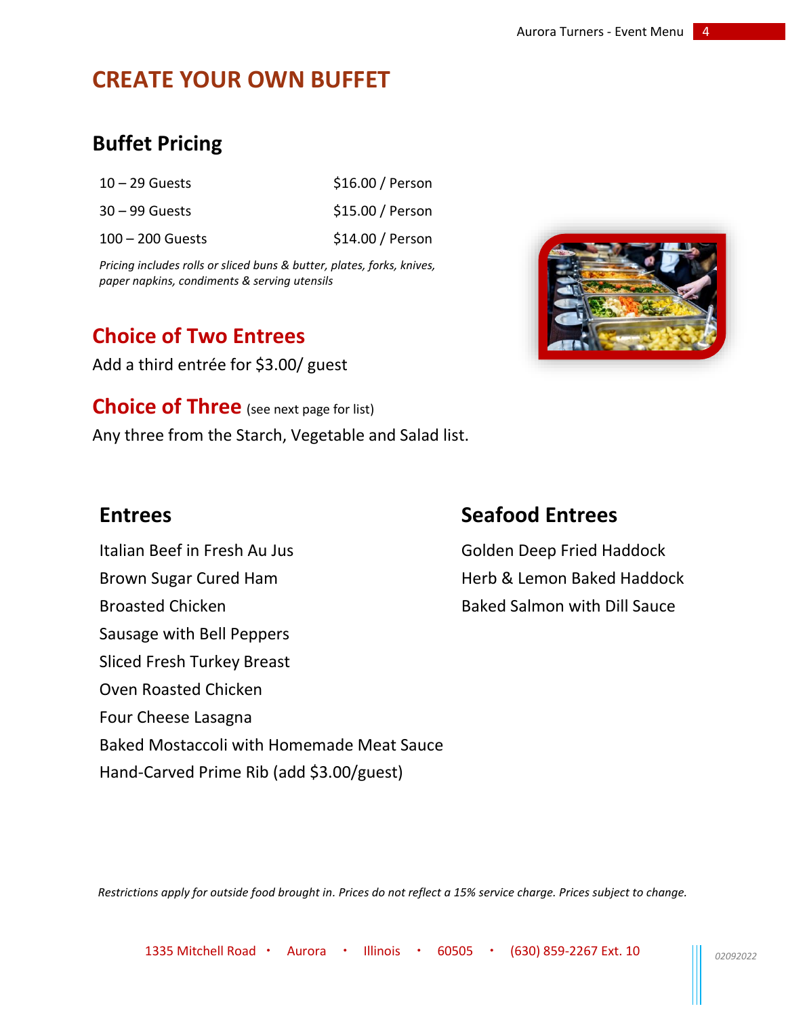# **CREATE YOUR OWN BUFFET**

# **Buffet Pricing**

| $10 - 29$ Guests   | \$16.00 / Person |
|--------------------|------------------|
| $30 - 99$ Guests   | \$15.00 / Person |
| $100 - 200$ Guests | \$14.00 / Person |

*Pricing includes rolls or sliced buns & butter, plates, forks, knives, paper napkins, condiments & serving utensils*

# **Choice of Two Entrees**

Add a third entrée for \$3.00/ guest

**Choice of Three** (see next page for list) Any three from the Starch, Vegetable and Salad list.

Italian Beef in Fresh Au Jus **Golden Deep Fried Haddock** Brown Sugar Cured Ham **Herb & Lemon Baked Haddock** Broasted Chicken **Baked Salmon with Dill Sauce** Sausage with Bell Peppers Sliced Fresh Turkey Breast Oven Roasted Chicken Four Cheese Lasagna Baked Mostaccoli with Homemade Meat Sauce Hand-Carved Prime Rib (add \$3.00/guest)

# **Entrees Seafood Entrees**

*Restrictions apply for outside food brought in. Prices do not reflect a 15% service charge. Prices subject to change.*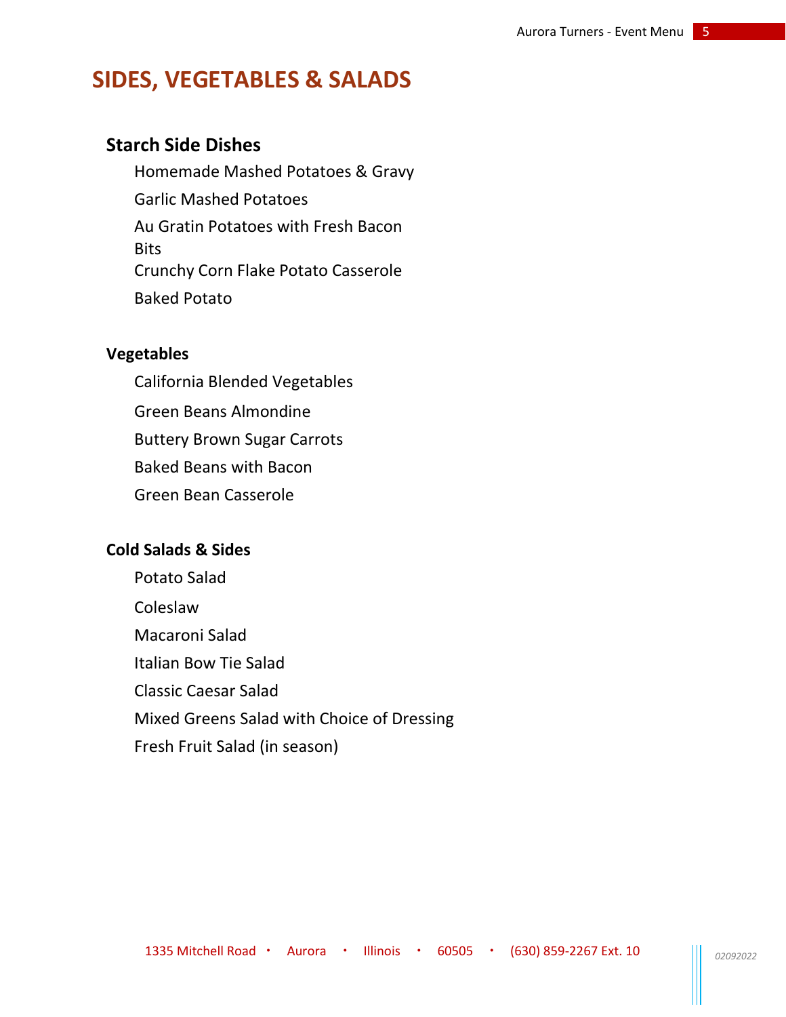# **SIDES, VEGETABLES & SALADS**

# **Starch Side Dishes**

Homemade Mashed Potatoes & Gravy Garlic Mashed Potatoes Au Gratin Potatoes with Fresh Bacon **Bits** Crunchy Corn Flake Potato Casserole Baked Potato

### **Vegetables**

California Blended Vegetables Green Beans Almondine Buttery Brown Sugar Carrots Baked Beans with Bacon Green Bean Casserole

### **Cold Salads & Sides**

Potato Salad Coleslaw Macaroni Salad Italian Bow Tie Salad Classic Caesar Salad Mixed Greens Salad with Choice of Dressing Fresh Fruit Salad (in season)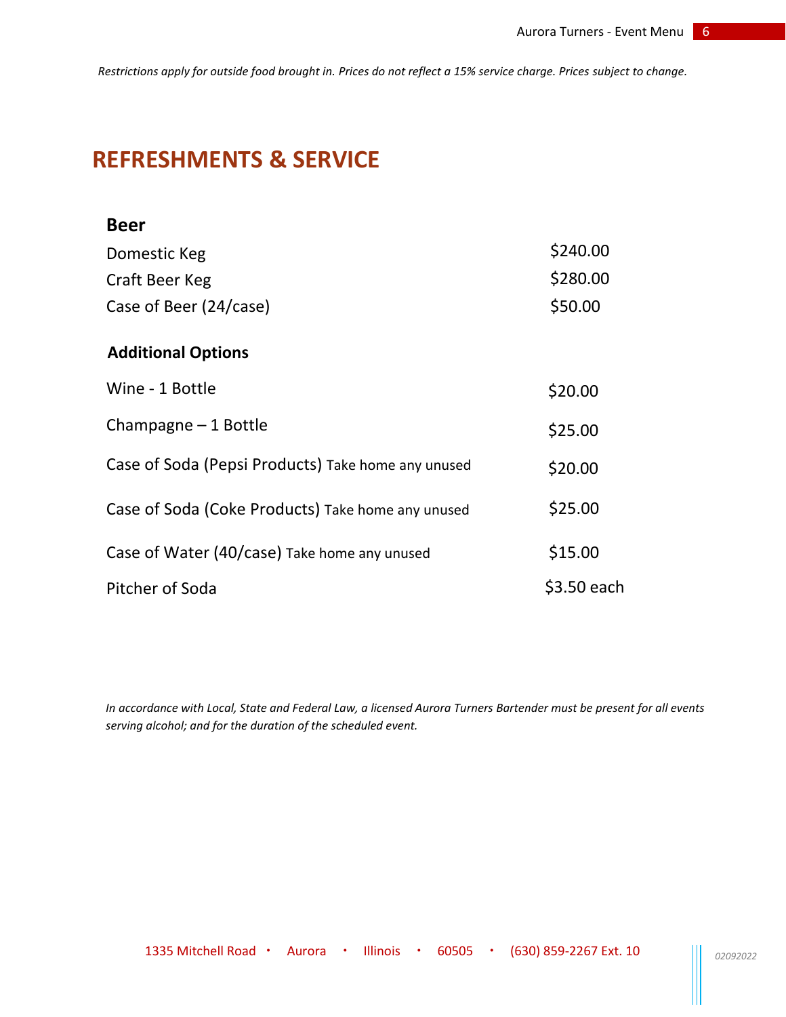*Restrictions apply for outside food brought in. Prices do not reflect a 15% service charge. Prices subject to change.*

# **REFRESHMENTS & SERVICE**

| <b>Beer</b>                                        |             |
|----------------------------------------------------|-------------|
| Domestic Keg                                       | \$240.00    |
| Craft Beer Keg                                     | \$280.00    |
| Case of Beer (24/case)                             | \$50.00     |
| <b>Additional Options</b>                          |             |
| Wine - 1 Bottle                                    | \$20.00     |
| Champagne $-1$ Bottle                              | \$25.00     |
| Case of Soda (Pepsi Products) Take home any unused | \$20.00     |
| Case of Soda (Coke Products) Take home any unused  | \$25.00     |
| Case of Water (40/case) Take home any unused       | \$15.00     |
| Pitcher of Soda                                    | \$3.50 each |

*In accordance with Local, State and Federal Law, a licensed Aurora Turners Bartender must be present for all events serving alcohol; and for the duration of the scheduled event.*